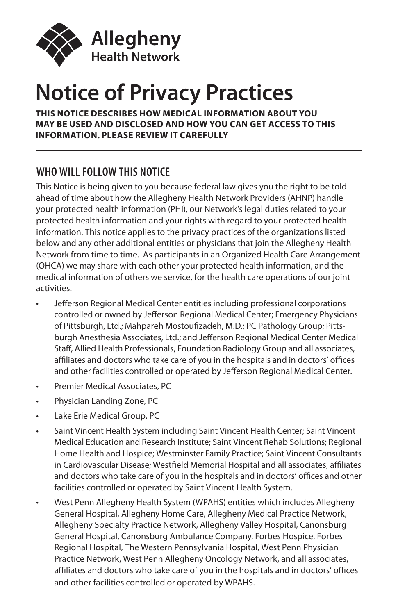

# **Notice of Privacy Practices**

#### **THIS NOTICE DESCRIBES HOW MEDICAL INFORMATION ABOUT YOU MAY BE USED AND DISCLOSED AND HOW YOU CAN GET ACCESS TO THIS INFORMATION. PLEASE REVIEW IT CAREFULLY**

## **WHO WILL FOLLOW THIS NOTICE**

This Notice is being given to you because federal law gives you the right to be told ahead of time about how the Allegheny Health Network Providers (AHNP) handle your protected health information (PHI), our Network's legal duties related to your protected health information and your rights with regard to your protected health information. This notice applies to the privacy practices of the organizations listed below and any other additional entities or physicians that join the Allegheny Health Network from time to time. As participants in an Organized Health Care Arrangement (OHCA) we may share with each other your protected health information, and the medical information of others we service, for the health care operations of our joint activities.

- Jefferson Regional Medical Center entities including professional corporations controlled or owned by Jefferson Regional Medical Center; Emergency Physicians of Pittsburgh, Ltd.; Mahpareh Mostoufizadeh, M.D.; PC Pathology Group; Pittsburgh Anesthesia Associates, Ltd.; and Jefferson Regional Medical Center Medical Staff, Allied Health Professionals, Foundation Radiology Group and all associates, affiliates and doctors who take care of you in the hospitals and in doctors' offices and other facilities controlled or operated by Jefferson Regional Medical Center.
- Premier Medical Associates, PC
- Physician Landing Zone, PC
- Lake Erie Medical Group, PC
- Saint Vincent Health System including Saint Vincent Health Center; Saint Vincent Medical Education and Research Institute; Saint Vincent Rehab Solutions; Regional Home Health and Hospice; Westminster Family Practice; Saint Vincent Consultants in Cardiovascular Disease; Westfield Memorial Hospital and all associates, affiliates and doctors who take care of you in the hospitals and in doctors' offices and other facilities controlled or operated by Saint Vincent Health System.
- West Penn Allegheny Health System (WPAHS) entities which includes Allegheny General Hospital, Allegheny Home Care, Allegheny Medical Practice Network, Allegheny Specialty Practice Network, Allegheny Valley Hospital, Canonsburg General Hospital, Canonsburg Ambulance Company, Forbes Hospice, Forbes Regional Hospital, The Western Pennsylvania Hospital, West Penn Physician Practice Network, West Penn Allegheny Oncology Network, and all associates, affiliates and doctors who take care of you in the hospitals and in doctors' offices and other facilities controlled or operated by WPAHS.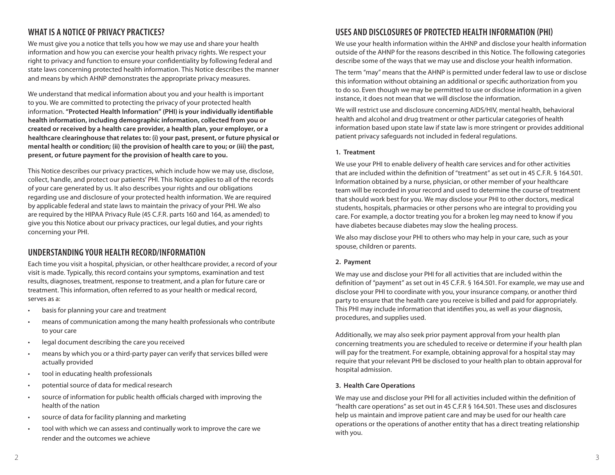## **WHAT IS A NOTICE OF PRIVACY PRACTICES?**

We must give you a notice that tells you how we may use and share your health information and how you can exercise your health privacy rights. We respect your right to privacy and function to ensure your confidentiality by following federal and state laws concerning protected health information. This Notice describes the manner and means by which AHNP demonstrates the appropriate privacy measures.

We understand that medical information about you and your health is important to you. We are committed to protecting the privacy of your protected health information. **"Protected Health Information" (PHI) is your individually identifiable health information, including demographic information, collected from you or created or received by a health care provider, a health plan, your employer, or a healthcare clearinghouse that relates to: (i) your past, present, or future physical or mental health or condition; (ii) the provision of health care to you; or (iii) the past, present, or future payment for the provision of health care to you.**

This Notice describes our privacy practices, which include how we may use, disclose, collect, handle, and protect our patients' PHI. This Notice applies to all of the records of your care generated by us. It also describes your rights and our obligations regarding use and disclosure of your protected health information. We are required by applicable federal and state laws to maintain the privacy of your PHI. We also are required by the HIPAA Privacy Rule (45 C.F.R. parts 160 and 164, as amended) to give you this Notice about our privacy practices, our legal duties, and your rights concerning your PHI.

### **UNDERSTANDING YOUR HEALTH RECORD/INFORMATION**

Each time you visit a hospital, physician, or other healthcare provider, a record of your visit is made. Typically, this record contains your symptoms, examination and test results, diagnoses, treatment, response to treatment, and a plan for future care or treatment. This information, often referred to as your health or medical record, serves as a:

- basis for planning your care and treatment
- means of communication among the many health professionals who contribute to your care
- legal document describing the care you received
- means by which you or a third-party payer can verify that services billed were actually provided
- tool in educating health professionals
- potential source of data for medical research
- source of information for public health officials charged with improving the health of the nation
- source of data for facility planning and marketing
- tool with which we can assess and continually work to improve the care we render and the outcomes we achieve

### **USES AND DISCLOSURES OF PROTECTED HEALTH INFORMATION (PHI)**

We use your health information within the AHNP and disclose your health information outside of the AHNP for the reasons described in this Notice. The following categories describe some of the ways that we may use and disclose your health information.

The term "may" means that the AHNP is permitted under federal law to use or disclose this information without obtaining an additional or specific authorization from you to do so. Even though we may be permitted to use or disclose information in a given instance, it does not mean that we will disclose the information.

We will restrict use and disclosure concerning AIDS/HIV, mental health, behavioral health and alcohol and drug treatment or other particular categories of health information based upon state law if state law is more stringent or provides additional patient privacy safeguards not included in federal regulations.

#### **1. Treatment**

We use your PHI to enable delivery of health care services and for other activities that are included within the definition of "treatment" as set out in 45 C.F.R. § 164.501. Information obtained by a nurse, physician, or other member of your healthcare team will be recorded in your record and used to determine the course of treatment that should work best for you. We may disclose your PHI to other doctors, medical students, hospitals, pharmacies or other persons who are integral to providing you care. For example, a doctor treating you for a broken leg may need to know if you have diabetes because diabetes may slow the healing process.

We also may disclose your PHI to others who may help in your care, such as your spouse, children or parents.

#### **2. Payment**

We may use and disclose your PHI for all activities that are included within the definition of "payment" as set out in 45 C.F.R. § 164.501. For example, we may use and disclose your PHI to coordinate with you, your insurance company, or another third party to ensure that the health care you receive is billed and paid for appropriately. This PHI may include information that identifies you, as well as your diagnosis, procedures, and supplies used.

Additionally, we may also seek prior payment approval from your health plan concerning treatments you are scheduled to receive or determine if your health plan will pay for the treatment. For example, obtaining approval for a hospital stay may require that your relevant PHI be disclosed to your health plan to obtain approval for hospital admission.

#### **3. Health Care Operations**

We may use and disclose your PHI for all activities included within the definition of "health care operations" as set out in 45 C.F.R § 164.501. These uses and disclosures help us maintain and improve patient care and may be used for our health care operations or the operations of another entity that has a direct treating relationship with you.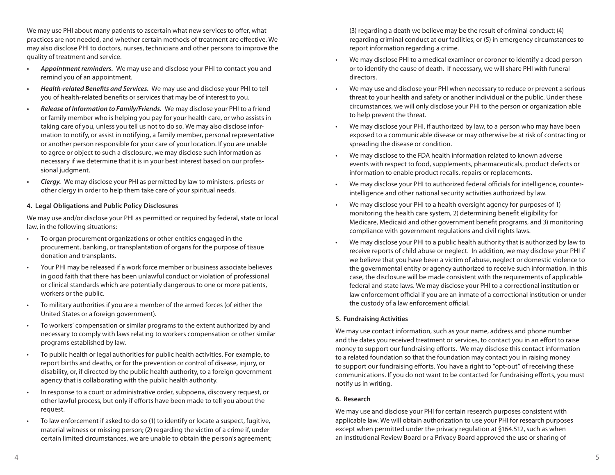We may use PHI about many patients to ascertain what new services to offer, what practices are not needed, and whether certain methods of treatment are effective. We may also disclose PHI to doctors, nurses, technicians and other persons to improve the quality of treatment and service.

- *• Appointment reminders.* We may use and disclose your PHI to contact you and remind you of an appointment.
- *• Health-related Benefits and Services.* We may use and disclose your PHI to tell you of health-related benefits or services that may be of interest to you.
- *• Release of Information to Family/Friends.* We may disclose your PHI to a friend or family member who is helping you pay for your health care, or who assists in taking care of you, unless you tell us not to do so. We may also disclose information to notify, or assist in notifying, a family member, personal representative or another person responsible for your care of your location. If you are unable to agree or object to such a disclosure, we may disclose such information as necessary if we determine that it is in your best interest based on our professional judgment.
- *• Clergy.* We may disclose your PHI as permitted by law to ministers, priests or other clergy in order to help them take care of your spiritual needs.

#### **4. Legal Obligations and Public Policy Disclosures**

We may use and/or disclose your PHI as permitted or required by federal, state or local law, in the following situations:

- To organ procurement organizations or other entities engaged in the procurement, banking, or transplantation of organs for the purpose of tissue donation and transplants.
- Your PHI may be released if a work force member or business associate believes in good faith that there has been unlawful conduct or violation of professional or clinical standards which are potentially dangerous to one or more patients, workers or the public.
- To military authorities if you are a member of the armed forces (of either the United States or a foreign government).
- To workers' compensation or similar programs to the extent authorized by and necessary to comply with laws relating to workers compensation or other similar programs established by law.
- To public health or legal authorities for public health activities. For example, to report births and deaths, or for the prevention or control of disease, injury, or disability, or, if directed by the public health authority, to a foreign government agency that is collaborating with the public health authority.
- In response to a court or administrative order, subpoena, discovery request, or other lawful process, but only if efforts have been made to tell you about the request.
- To law enforcement if asked to do so (1) to identify or locate a suspect, fugitive, material witness or missing person; (2) regarding the victim of a crime if, under certain limited circumstances, we are unable to obtain the person's agreement;

(3) regarding a death we believe may be the result of criminal conduct; (4) regarding criminal conduct at our facilities; or (5) in emergency circumstances to report information regarding a crime.

- We may disclose PHI to a medical examiner or coroner to identify a dead person or to identify the cause of death. If necessary, we will share PHI with funeral directors.
- We may use and disclose your PHI when necessary to reduce or prevent a serious threat to your health and safety or another individual or the public. Under these circumstances, we will only disclose your PHI to the person or organization able to help prevent the threat.
- We may disclose your PHI, if authorized by law, to a person who may have been exposed to a communicable disease or may otherwise be at risk of contracting or spreading the disease or condition.
- We may disclose to the FDA health information related to known adverse events with respect to food, supplements, pharmaceuticals, product defects or information to enable product recalls, repairs or replacements.
- We may disclose your PHI to authorized federal officials for intelligence, counterintelligence and other national security activities authorized by law.
- We may disclose your PHI to a health oversight agency for purposes of 1) monitoring the health care system, 2) determining benefit eligibility for Medicare, Medicaid and other government benefit programs, and 3) monitoring compliance with government regulations and civil rights laws.
- We may disclose your PHI to a public health authority that is authorized by law to receive reports of child abuse or neglect. In addition, we may disclose your PHI if we believe that you have been a victim of abuse, neglect or domestic violence to the governmental entity or agency authorized to receive such information. In this case, the disclosure will be made consistent with the requirements of applicable federal and state laws. We may disclose your PHI to a correctional institution or law enforcement official if you are an inmate of a correctional institution or under the custody of a law enforcement official.

#### **5. Fundraising Activities**

We may use contact information, such as your name, address and phone number and the dates you received treatment or services, to contact you in an effort to raise money to support our fundraising efforts. We may disclose this contact information to a related foundation so that the foundation may contact you in raising money to support our fundraising efforts. You have a right to "opt-out" of receiving these communications. If you do not want to be contacted for fundraising efforts, you must notify us in writing.

### **6. Research**

We may use and disclose your PHI for certain research purposes consistent with applicable law. We will obtain authorization to use your PHI for research purposes except when permitted under the privacy regulation at §164.512, such as when an Institutional Review Board or a Privacy Board approved the use or sharing of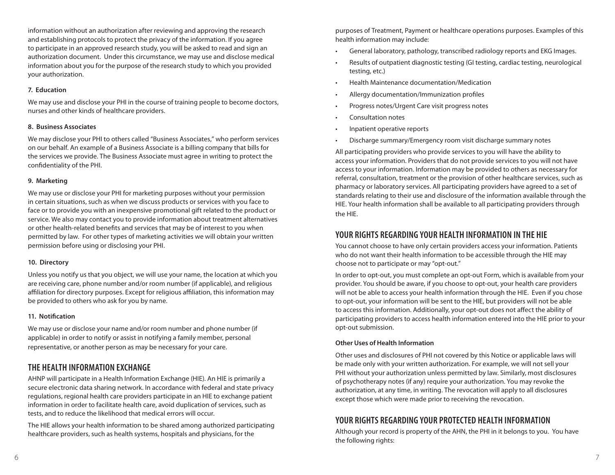information without an authorization after reviewing and approving the research and establishing protocols to protect the privacy of the information. If you agree to participate in an approved research study, you will be asked to read and sign an authorization document. Under this circumstance, we may use and disclose medical information about you for the purpose of the research study to which you provided your authorization.

#### **7. Education**

We may use and disclose your PHI in the course of training people to become doctors, nurses and other kinds of healthcare providers.

#### **8. Business Associates**

We may disclose your PHI to others called "Business Associates," who perform services on our behalf. An example of a Business Associate is a billing company that bills for the services we provide. The Business Associate must agree in writing to protect the confidentiality of the PHI.

#### **9. Marketing**

We may use or disclose your PHI for marketing purposes without your permission in certain situations, such as when we discuss products or services with you face to face or to provide you with an inexpensive promotional gift related to the product or service. We also may contact you to provide information about treatment alternatives or other health-related benefits and services that may be of interest to you when permitted by law. For other types of marketing activities we will obtain your written permission before using or disclosing your PHI.

### **10. Directory**

Unless you notify us that you object, we will use your name, the location at which you are receiving care, phone number and/or room number (if applicable), and religious affiliation for directory purposes. Except for religious affiliation, this information may be provided to others who ask for you by name.

### **11. Notification**

We may use or disclose your name and/or room number and phone number (if applicable) in order to notify or assist in notifying a family member, personal representative, or another person as may be necessary for your care.

### **THE HEALTH INFORMATION EXCHANGE**

AHNP will participate in a Health Information Exchange (HIE). An HIE is primarily a secure electronic data sharing network. In accordance with federal and state privacy regulations, regional health care providers participate in an HIE to exchange patient information in order to facilitate health care, avoid duplication of services, such as tests, and to reduce the likelihood that medical errors will occur.

The HIE allows your health information to be shared among authorized participating healthcare providers, such as health systems, hospitals and physicians, for the

purposes of Treatment, Payment or healthcare operations purposes. Examples of this health information may include:

- General laboratory, pathology, transcribed radiology reports and EKG Images.
- Results of outpatient diagnostic testing (GI testing, cardiac testing, neurological testing, etc.)
- Health Maintenance documentation/Medication
- Allergy documentation/Immunization profiles
- Progress notes/Urgent Care visit progress notes
- Consultation notes
- Inpatient operative reports
- Discharge summary/Emergency room visit discharge summary notes

All participating providers who provide services to you will have the ability to access your information. Providers that do not provide services to you will not have access to your information. Information may be provided to others as necessary for referral, consultation, treatment or the provision of other healthcare services, such as pharmacy or laboratory services. All participating providers have agreed to a set of standards relating to their use and disclosure of the information available through the HIE. Your health information shall be available to all participating providers through the HIE.

### **YOUR RIGHTS REGARDING YOUR HEALTH INFORMATION IN THE HIE**

You cannot choose to have only certain providers access your information. Patients who do not want their health information to be accessible through the HIE may choose not to participate or may "opt-out."

In order to opt-out, you must complete an opt-out Form, which is available from your provider. You should be aware, if you choose to opt-out, your health care providers will not be able to access your health information through the HIE. Even if you chose to opt-out, your information will be sent to the HIE, but providers will not be able to access this information. Additionally, your opt-out does not affect the ability of participating providers to access health information entered into the HIE prior to your opt-out submission.

### **Other Uses of Health Information**

Other uses and disclosures of PHI not covered by this Notice or applicable laws will be made only with your written authorization. For example, we will not sell your PHI without your authorization unless permitted by law. Similarly, most disclosures of psychotherapy notes (if any) require your authorization. You may revoke the authorization, at any time, in writing. The revocation will apply to all disclosures except those which were made prior to receiving the revocation.

### **YOUR RIGHTS REGARDING YOUR PROTECTED HEALTH INFORMATION**

Although your record is property of the AHN, the PHI in it belongs to you. You have the following rights: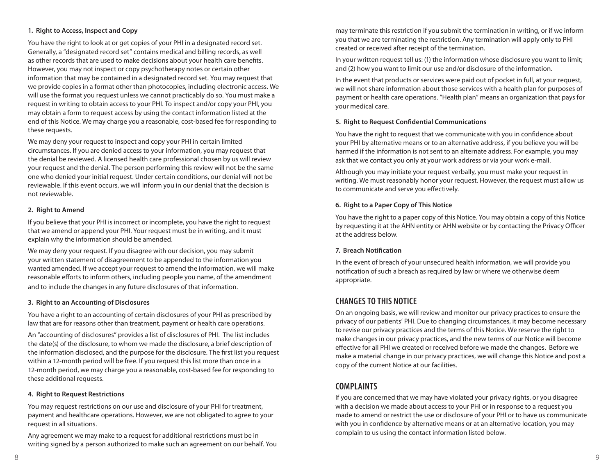#### **1. Right to Access, Inspect and Copy**

You have the right to look at or get copies of your PHI in a designated record set. Generally, a "designated record set" contains medical and billing records, as well as other records that are used to make decisions about your health care benefits. However, you may not inspect or copy psychotherapy notes or certain other information that may be contained in a designated record set. You may request that we provide copies in a format other than photocopies, including electronic access. We will use the format you request unless we cannot practicably do so. You must make a request in writing to obtain access to your PHI. To inspect and/or copy your PHI, you may obtain a form to request access by using the contact information listed at the end of this Notice. We may charge you a reasonable, cost-based fee for responding to these requests.

We may deny your request to inspect and copy your PHI in certain limited circumstances. If you are denied access to your information, you may request that the denial be reviewed. A licensed health care professional chosen by us will review your request and the denial. The person performing this review will not be the same one who denied your initial request. Under certain conditions, our denial will not be reviewable. If this event occurs, we will inform you in our denial that the decision is not reviewable.

#### **2. Right to Amend**

If you believe that your PHI is incorrect or incomplete, you have the right to request that we amend or append your PHI. Your request must be in writing, and it must explain why the information should be amended.

We may deny your request. If you disagree with our decision, you may submit your written statement of disagreement to be appended to the information you wanted amended. If we accept your request to amend the information, we will make reasonable efforts to inform others, including people you name, of the amendment and to include the changes in any future disclosures of that information.

#### **3. Right to an Accounting of Disclosures**

You have a right to an accounting of certain disclosures of your PHI as prescribed by law that are for reasons other than treatment, payment or health care operations.

An "accounting of disclosures" provides a list of disclosures of PHI. The list includes the date(s) of the disclosure, to whom we made the disclosure, a brief description of the information disclosed, and the purpose for the disclosure. The first list you request within a 12-month period will be free. If you request this list more than once in a 12-month period, we may charge you a reasonable, cost-based fee for responding to these additional requests.

### **4. Right to Request Restrictions**

You may request restrictions on our use and disclosure of your PHI for treatment, payment and healthcare operations. However, we are not obligated to agree to your request in all situations.

Any agreement we may make to a request for additional restrictions must be in writing signed by a person authorized to make such an agreement on our behalf. You

may terminate this restriction if you submit the termination in writing, or if we inform you that we are terminating the restriction. Any termination will apply only to PHI created or received after receipt of the termination.

In your written request tell us: (1) the information whose disclosure you want to limit; and (2) how you want to limit our use and/or disclosure of the information.

In the event that products or services were paid out of pocket in full, at your request, we will not share information about those services with a health plan for purposes of payment or health care operations. "Health plan" means an organization that pays for your medical care.

### **5. Right to Request Confidential Communications**

You have the right to request that we communicate with you in confidence about your PHI by alternative means or to an alternative address, if you believe you will be harmed if the information is not sent to an alternate address. For example, you may ask that we contact you only at your work address or via your work e-mail.

Although you may initiate your request verbally, you must make your request in writing. We must reasonably honor your request. However, the request must allow us to communicate and serve you effectively.

### **6. Right to a Paper Copy of This Notice**

You have the right to a paper copy of this Notice. You may obtain a copy of this Notice by requesting it at the AHN entity or AHN website or by contacting the Privacy Officer at the address below.

### **7. Breach Notification**

In the event of breach of your unsecured health information, we will provide you notification of such a breach as required by law or where we otherwise deem appropriate.

### **CHANGES TO THIS NOTICE**

On an ongoing basis, we will review and monitor our privacy practices to ensure the privacy of our patients' PHI. Due to changing circumstances, it may become necessary to revise our privacy practices and the terms of this Notice. We reserve the right to make changes in our privacy practices, and the new terms of our Notice will become effective for all PHI we created or received before we made the changes. Before we make a material change in our privacy practices, we will change this Notice and post a copy of the current Notice at our facilities.

### **COMPLAINTS**

If you are concerned that we may have violated your privacy rights, or you disagree with a decision we made about access to your PHI or in response to a request you made to amend or restrict the use or disclosure of your PHI or to have us communicate with you in confidence by alternative means or at an alternative location, you may complain to us using the contact information listed below.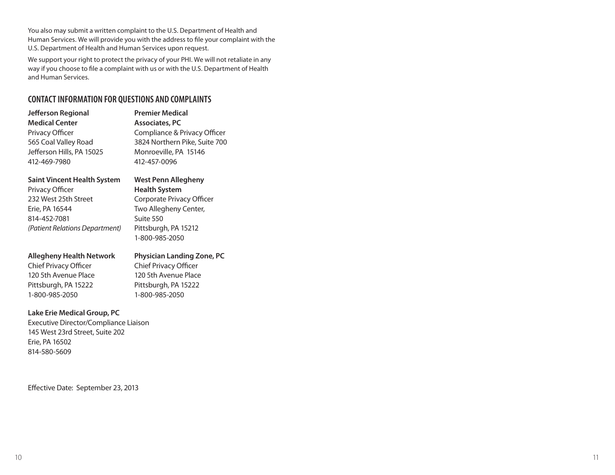You also may submit a written complaint to the U.S. Department of Health and Human Services. We will provide you with the address to file your complaint with the U.S. Department of Health and Human Services upon request.

We support your right to protect the privacy of your PHI. We will not retaliate in any way if you choose to file a complaint with us or with the U.S. Department of Health and Human Services.

### **CONTACT INFORMATION FOR QUESTIONS AND COMPLAINTS**

| Jefferson Regional<br><b>Medical Center</b> | <b>Premier Medical</b><br>Associates, PC |
|---------------------------------------------|------------------------------------------|
|                                             |                                          |
| 565 Coal Valley Road                        | 3824 Northern Pike, Suite 700            |
| Jefferson Hills, PA 15025                   | Monroeville, PA 15146                    |
| 412-469-7980                                | 412-457-0096                             |
|                                             |                                          |

### **Saint Vincent Health System West Penn Allegheny**

Privacy Officer **Health System** 232 West 25th Street Corporate Privacy Officer Erie, PA 16544 Two Allegheny Center, 814-452-7081 Suite 550 *(Patient Relations Department)* Pittsburgh, PA 15212

1-800-985-2050

### **Allegheny Health Network Physician Landing Zone, PC**

Chief Privacy Officer Chief Privacy Officer 120 5th Avenue Place 120 5th Avenue Place Pittsburgh, PA 15222 Pittsburgh, PA 15222 1-800-985-2050 1-800-985-2050

### **Lake Erie Medical Group, PC**

Executive Director/Compliance Liaison 145 West 23rd Street, Suite 202 Erie, PA 16502 814-580-5609

Effective Date: September 23, 2013